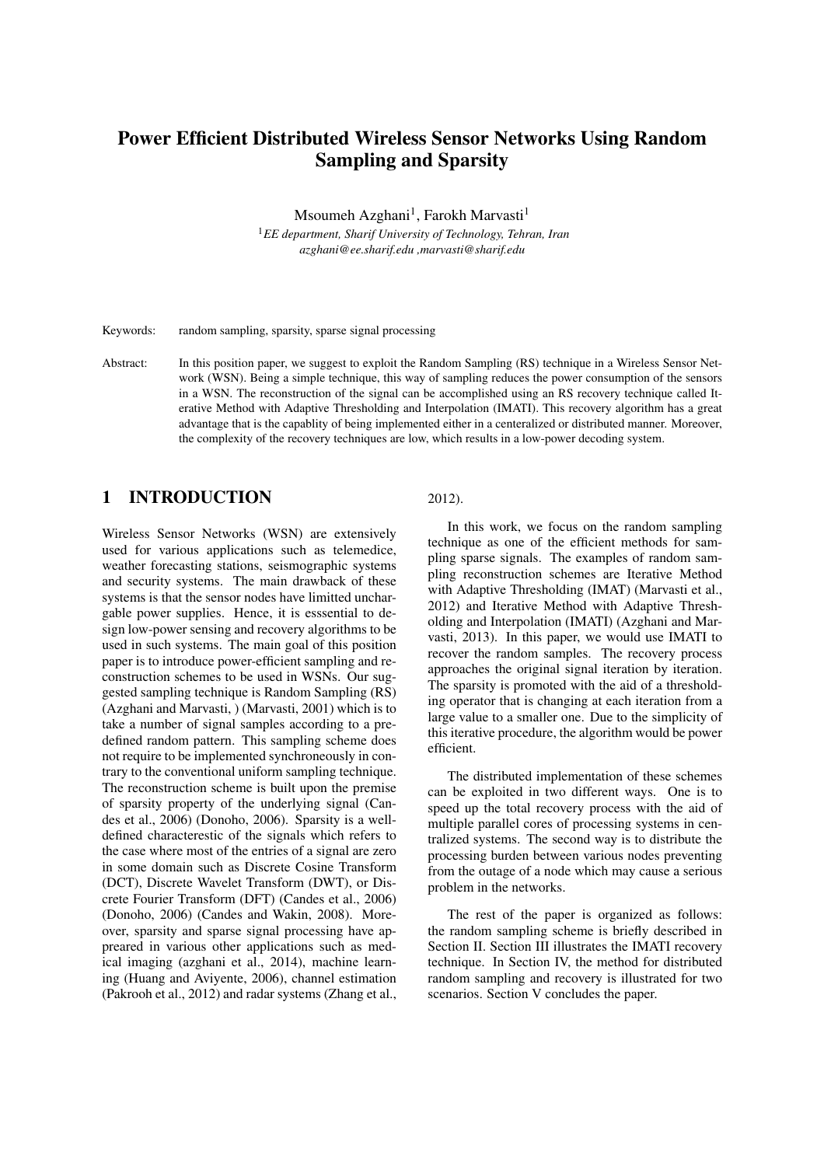# Power Efficient Distributed Wireless Sensor Networks Using Random Sampling and Sparsity

Msoumeh Azghani<sup>1</sup>, Farokh Marvasti<sup>1</sup>

<sup>1</sup>*EE department, Sharif University of Technology, Tehran, Iran azghani@ee.sharif.edu ,marvasti@sharif.edu*

Keywords: random sampling, sparsity, sparse signal processing

Abstract: In this position paper, we suggest to exploit the Random Sampling (RS) technique in a Wireless Sensor Network (WSN). Being a simple technique, this way of sampling reduces the power consumption of the sensors in a WSN. The reconstruction of the signal can be accomplished using an RS recovery technique called Iterative Method with Adaptive Thresholding and Interpolation (IMATI). This recovery algorithm has a great advantage that is the capablity of being implemented either in a centeralized or distributed manner. Moreover, the complexity of the recovery techniques are low, which results in a low-power decoding system.

### 1 INTRODUCTION

Wireless Sensor Networks (WSN) are extensively used for various applications such as telemedice, weather forecasting stations, seismographic systems and security systems. The main drawback of these systems is that the sensor nodes have limitted unchargable power supplies. Hence, it is esssential to design low-power sensing and recovery algorithms to be used in such systems. The main goal of this position paper is to introduce power-efficient sampling and reconstruction schemes to be used in WSNs. Our suggested sampling technique is Random Sampling (RS) (Azghani and Marvasti, ) (Marvasti, 2001) which is to take a number of signal samples according to a predefined random pattern. This sampling scheme does not require to be implemented synchroneously in contrary to the conventional uniform sampling technique. The reconstruction scheme is built upon the premise of sparsity property of the underlying signal (Candes et al., 2006) (Donoho, 2006). Sparsity is a welldefined characterestic of the signals which refers to the case where most of the entries of a signal are zero in some domain such as Discrete Cosine Transform (DCT), Discrete Wavelet Transform (DWT), or Discrete Fourier Transform (DFT) (Candes et al., 2006) (Donoho, 2006) (Candes and Wakin, 2008). Moreover, sparsity and sparse signal processing have appreared in various other applications such as medical imaging (azghani et al., 2014), machine learning (Huang and Aviyente, 2006), channel estimation (Pakrooh et al., 2012) and radar systems (Zhang et al.,

#### 2012).

In this work, we focus on the random sampling technique as one of the efficient methods for sampling sparse signals. The examples of random sampling reconstruction schemes are Iterative Method with Adaptive Thresholding (IMAT) (Marvasti et al., 2012) and Iterative Method with Adaptive Thresholding and Interpolation (IMATI) (Azghani and Marvasti, 2013). In this paper, we would use IMATI to recover the random samples. The recovery process approaches the original signal iteration by iteration. The sparsity is promoted with the aid of a thresholding operator that is changing at each iteration from a large value to a smaller one. Due to the simplicity of this iterative procedure, the algorithm would be power efficient.

The distributed implementation of these schemes can be exploited in two different ways. One is to speed up the total recovery process with the aid of multiple parallel cores of processing systems in centralized systems. The second way is to distribute the processing burden between various nodes preventing from the outage of a node which may cause a serious problem in the networks.

The rest of the paper is organized as follows: the random sampling scheme is briefly described in Section II. Section III illustrates the IMATI recovery technique. In Section IV, the method for distributed random sampling and recovery is illustrated for two scenarios. Section V concludes the paper.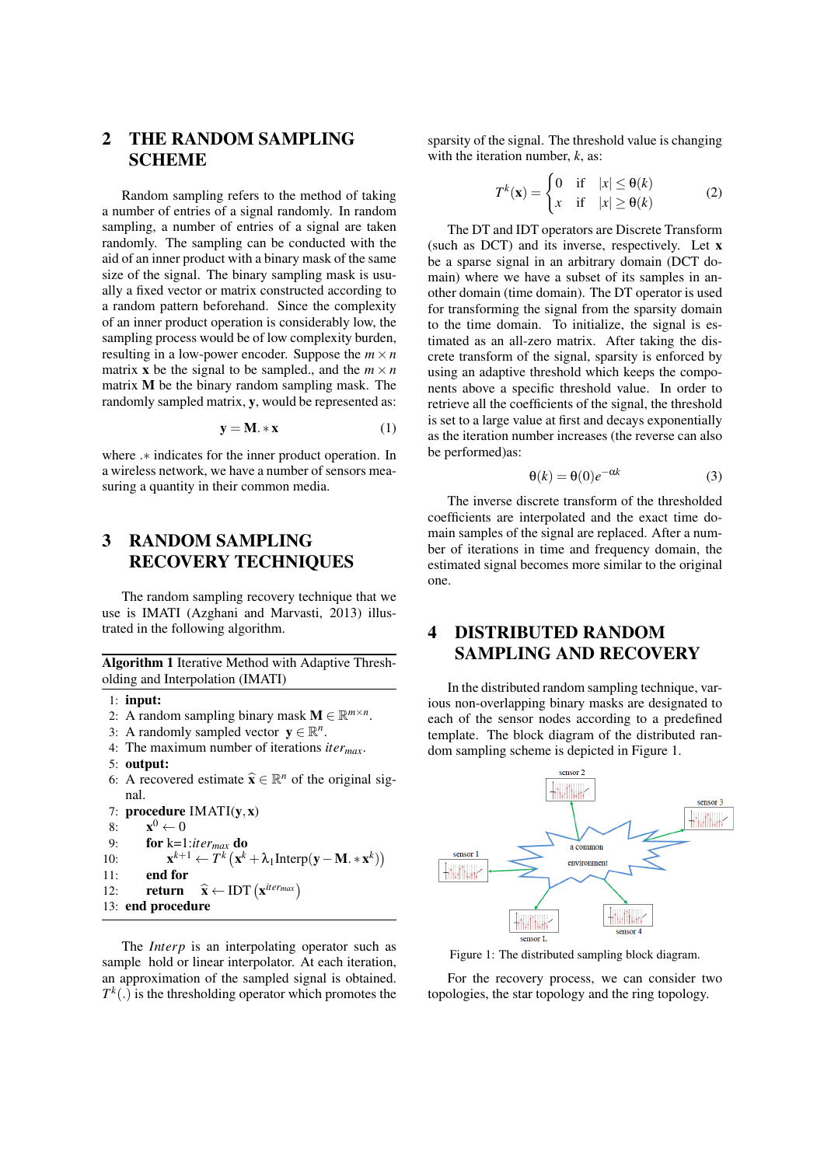# 2 THE RANDOM SAMPLING **SCHEME**

Random sampling refers to the method of taking a number of entries of a signal randomly. In random sampling, a number of entries of a signal are taken randomly. The sampling can be conducted with the aid of an inner product with a binary mask of the same size of the signal. The binary sampling mask is usually a fixed vector or matrix constructed according to a random pattern beforehand. Since the complexity of an inner product operation is considerably low, the sampling process would be of low complexity burden, resulting in a low-power encoder. Suppose the  $m \times n$ matrix **x** be the signal to be sampled., and the  $m \times n$ matrix M be the binary random sampling mask. The randomly sampled matrix, y, would be represented as:

$$
y = M \cdot * x \tag{1}
$$

where *.∗* indicates for the inner product operation. In a wireless network, we have a number of sensors measuring a quantity in their common media.

# 3 RANDOM SAMPLING RECOVERY TECHNIQUES

The random sampling recovery technique that we use is IMATI (Azghani and Marvasti, 2013) illustrated in the following algorithm.

Algorithm 1 Iterative Method with Adaptive Thresholding and Interpolation (IMATI)

- 1: input:
- 2: A random sampling binary mask  $\mathbf{M} \in \mathbb{R}^{m \times n}$ .
- 3: A randomly sampled vector  $y \in \mathbb{R}^n$ .
- 4: The maximum number of iterations *itermax*.
- 5: output:
- 6: A recovered estimate  $\hat{\mathbf{x}} \in \mathbb{R}^n$  of the original signal.

7: procedure IMATI(y*,*x)  $8:$  $\mathbf{x}^0 \leftarrow 0$ 9: for k=1:*itermax* do  $10:$  $\mathbf{X}^{k+1} \leftarrow \overline{T^k} \left( \mathbf{x}^k + \lambda_1 \text{Interp}(\mathbf{y} - \mathbf{M}. \ast \mathbf{x}^k) \right)$ 11: end for 12: **return**  $\hat{\mathbf{x}} \leftarrow \text{IDT}(\mathbf{x}^{iter_{max}})$ 13: end procedure

The *Interp* is an interpolating operator such as sample hold or linear interpolator. At each iteration, an approximation of the sampled signal is obtained.  $T<sup>k</sup>(.)$  is the thresholding operator which promotes the

sparsity of the signal. The threshold value is changing with the iteration number, *k*, as:

$$
T^{k}(\mathbf{x}) = \begin{cases} 0 & \text{if } |x| \leq \theta(k) \\ x & \text{if } |x| \geq \theta(k) \end{cases}
$$
 (2)

The DT and IDT operators are Discrete Transform (such as DCT) and its inverse, respectively. Let x be a sparse signal in an arbitrary domain (DCT domain) where we have a subset of its samples in another domain (time domain). The DT operator is used for transforming the signal from the sparsity domain to the time domain. To initialize, the signal is estimated as an all-zero matrix. After taking the discrete transform of the signal, sparsity is enforced by using an adaptive threshold which keeps the components above a specific threshold value. In order to retrieve all the coefficients of the signal, the threshold is set to a large value at first and decays exponentially as the iteration number increases (the reverse can also be performed)as:

$$
\Theta(k) = \Theta(0)e^{-\alpha k} \tag{3}
$$

The inverse discrete transform of the thresholded coefficients are interpolated and the exact time domain samples of the signal are replaced. After a number of iterations in time and frequency domain, the estimated signal becomes more similar to the original one.

# 4 DISTRIBUTED RANDOM SAMPLING AND RECOVERY

In the distributed random sampling technique, various non-overlapping binary masks are designated to each of the sensor nodes according to a predefined template. The block diagram of the distributed random sampling scheme is depicted in Figure 1.



Figure 1: The distributed sampling block diagram.

For the recovery process, we can consider two topologies, the star topology and the ring topology.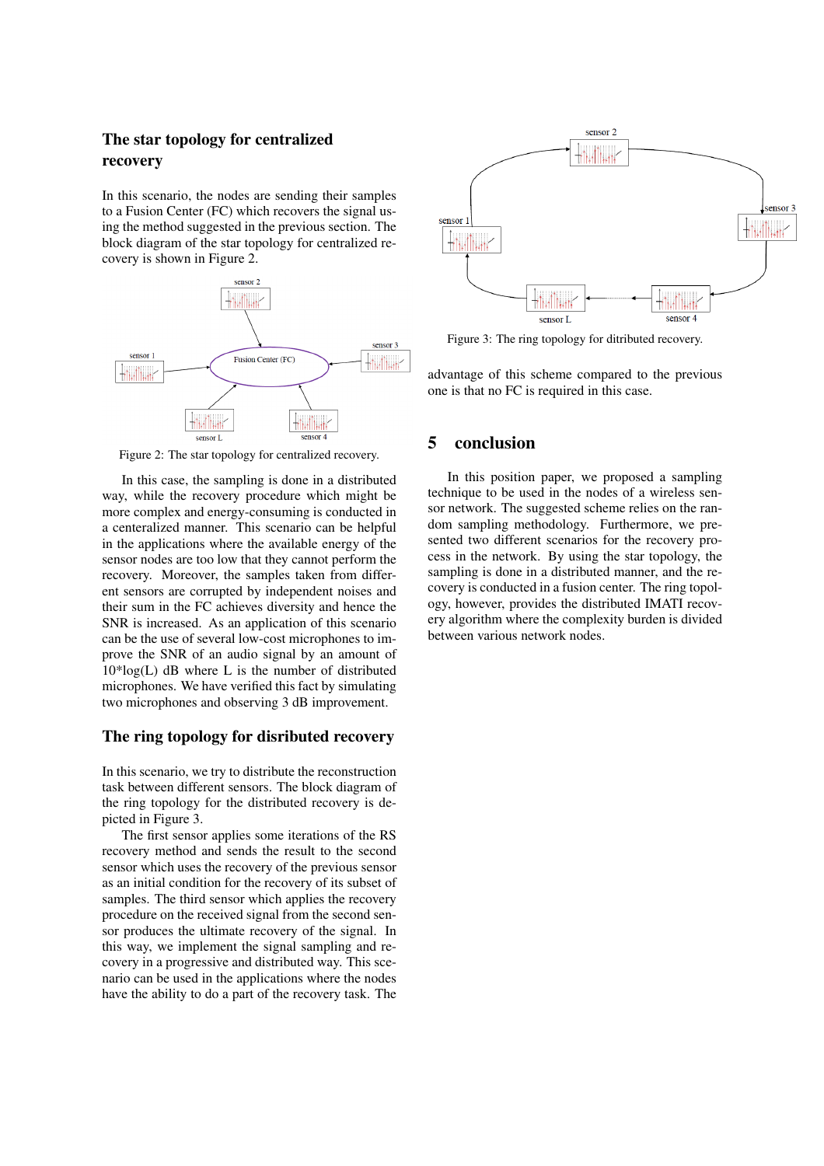### The star topology for centralized recovery

In this scenario, the nodes are sending their samples to a Fusion Center (FC) which recovers the signal using the method suggested in the previous section. The block diagram of the star topology for centralized recovery is shown in Figure 2.



Figure 2: The star topology for centralized recovery.

In this case, the sampling is done in a distributed way, while the recovery procedure which might be more complex and energy-consuming is conducted in a centeralized manner. This scenario can be helpful in the applications where the available energy of the sensor nodes are too low that they cannot perform the recovery. Moreover, the samples taken from different sensors are corrupted by independent noises and their sum in the FC achieves diversity and hence the SNR is increased. As an application of this scenario can be the use of several low-cost microphones to improve the SNR of an audio signal by an amount of  $10*log(L)$  dB where L is the number of distributed microphones. We have verified this fact by simulating two microphones and observing 3 dB improvement.

#### The ring topology for disributed recovery

In this scenario, we try to distribute the reconstruction task between different sensors. The block diagram of the ring topology for the distributed recovery is depicted in Figure 3.

The first sensor applies some iterations of the RS recovery method and sends the result to the second sensor which uses the recovery of the previous sensor as an initial condition for the recovery of its subset of samples. The third sensor which applies the recovery procedure on the received signal from the second sensor produces the ultimate recovery of the signal. In this way, we implement the signal sampling and recovery in a progressive and distributed way. This scenario can be used in the applications where the nodes have the ability to do a part of the recovery task. The



Figure 3: The ring topology for ditributed recovery.

advantage of this scheme compared to the previous one is that no FC is required in this case.

#### 5 conclusion

In this position paper, we proposed a sampling technique to be used in the nodes of a wireless sensor network. The suggested scheme relies on the random sampling methodology. Furthermore, we presented two different scenarios for the recovery process in the network. By using the star topology, the sampling is done in a distributed manner, and the recovery is conducted in a fusion center. The ring topology, however, provides the distributed IMATI recovery algorithm where the complexity burden is divided between various network nodes.